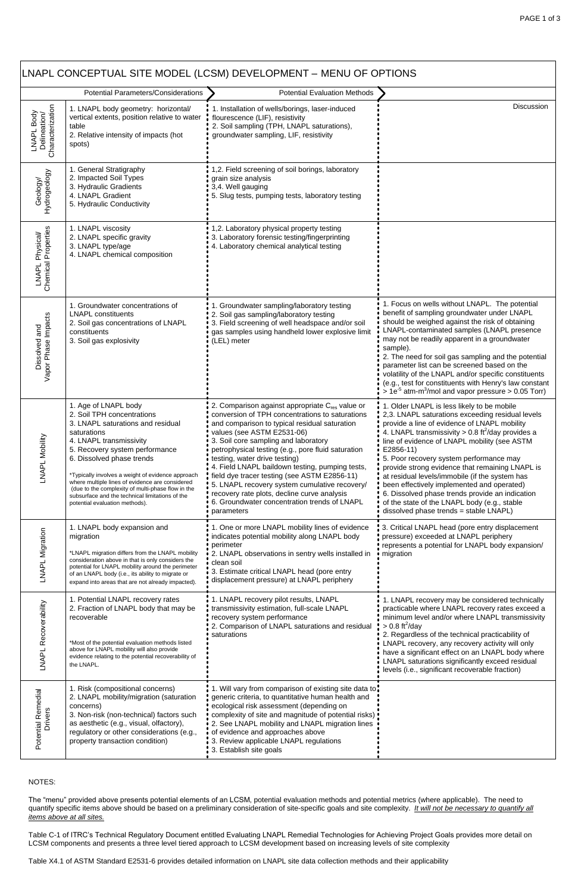| LNAPL CONCEPTUAL SITE MODEL (LCSM) DEVELOPMENT - MENU OF OPTIONS                  |                                                                                                                                                                                                                                                                                                                                                                                                                                                    |                                                                                                                                                                                                                                                                                                                                                                                                                                                                                                                                                                                               |                                                                                                                                                                                                                                                                                                                                                                                                                                                                                                                                                                                                                         |
|-----------------------------------------------------------------------------------|----------------------------------------------------------------------------------------------------------------------------------------------------------------------------------------------------------------------------------------------------------------------------------------------------------------------------------------------------------------------------------------------------------------------------------------------------|-----------------------------------------------------------------------------------------------------------------------------------------------------------------------------------------------------------------------------------------------------------------------------------------------------------------------------------------------------------------------------------------------------------------------------------------------------------------------------------------------------------------------------------------------------------------------------------------------|-------------------------------------------------------------------------------------------------------------------------------------------------------------------------------------------------------------------------------------------------------------------------------------------------------------------------------------------------------------------------------------------------------------------------------------------------------------------------------------------------------------------------------------------------------------------------------------------------------------------------|
| <b>Potential Parameters/Considerations</b><br><b>Potential Evaluation Methods</b> |                                                                                                                                                                                                                                                                                                                                                                                                                                                    |                                                                                                                                                                                                                                                                                                                                                                                                                                                                                                                                                                                               |                                                                                                                                                                                                                                                                                                                                                                                                                                                                                                                                                                                                                         |
| LNAPL Body<br>Delineation/<br>Characterization                                    | 1. LNAPL body geometry: horizontal/<br>vertical extents, position relative to water<br>table<br>2. Relative intensity of impacts (hot<br>spots)                                                                                                                                                                                                                                                                                                    | 1. Installation of wells/borings, laser-induced<br>flourescence (LIF), resistivity<br>2. Soil sampling (TPH, LNAPL saturations),<br>groundwater sampling, LIF, resistivity                                                                                                                                                                                                                                                                                                                                                                                                                    | Discussion                                                                                                                                                                                                                                                                                                                                                                                                                                                                                                                                                                                                              |
| Geology/<br>Hydrogeology                                                          | 1. General Stratigraphy<br>2. Impacted Soil Types<br>3. Hydraulic Gradients<br>4. LNAPL Gradient<br>5. Hydraulic Conductivity                                                                                                                                                                                                                                                                                                                      | 1,2. Field screening of soil borings, laboratory<br>grain size analysis<br>3,4. Well gauging<br>5. Slug tests, pumping tests, laboratory testing                                                                                                                                                                                                                                                                                                                                                                                                                                              |                                                                                                                                                                                                                                                                                                                                                                                                                                                                                                                                                                                                                         |
| Chemical Properties<br>LNAPL Physical/                                            | 1. LNAPL viscosity<br>2. LNAPL specific gravity<br>3. LNAPL type/age<br>4. LNAPL chemical composition                                                                                                                                                                                                                                                                                                                                              | 1,2. Laboratory physical property testing<br>3. Laboratory forensic testing/fingerprinting<br>4. Laboratory chemical analytical testing                                                                                                                                                                                                                                                                                                                                                                                                                                                       |                                                                                                                                                                                                                                                                                                                                                                                                                                                                                                                                                                                                                         |
| Dissolved and<br>Vapor Phase Impacts                                              | 1. Groundwater concentrations of<br><b>LNAPL</b> constituents<br>2. Soil gas concentrations of LNAPL<br>constituents<br>3. Soil gas explosivity                                                                                                                                                                                                                                                                                                    | . Groundwater sampling/laboratory testing<br>2. Soil gas sampling/laboratory testing<br>3. Field screening of well headspace and/or soil<br>gas samples using handheld lower explosive limit<br>(LEL) meter                                                                                                                                                                                                                                                                                                                                                                                   | 1. Focus on wells without LNAPL. The potential<br>benefit of sampling groundwater under LNAPL<br>should be weighed against the risk of obtaining<br>LNAPL-contaminated samples (LNAPL presence<br>may not be readily apparent in a groundwater<br>sample).<br>2. The need for soil gas sampling and the potential<br>parameter list can be screened based on the<br>volatility of the LNAPL and/or specific constituents<br>(e.g., test for constituents with Henry's law constant<br>$>1e^{-5}$ atm-m <sup>3</sup> /mol and vapor pressure $> 0.05$ Torr)                                                              |
| LNAPL Mobility                                                                    | 1. Age of LNAPL body<br>2. Soil TPH concentrations<br>3. LNAPL saturations and residual<br>saturations<br>4. LNAPL transmissivity<br>5. Recovery system performance<br>6. Dissolved phase trends<br>*Typically involves a weight of evidence approach<br>where multiple lines of evidence are considered<br>(due to the complexity of multi-phase flow in the<br>subsurface and the technical limitations of the<br>potential evaluation methods). | 2. Comparison against appropriate C <sub>res</sub> value or<br>conversion of TPH concentrations to saturations<br>and comparison to typical residual saturation<br>values (see ASTM E2531-06)<br>3. Soil core sampling and laboratory<br>petrophysical testing (e.g., pore fluid saturation<br>testing, water drive testing)<br>4. Field LNAPL baildown testing, pumping tests,<br>field dye tracer testing (see ASTM E2856-11)<br>5. LNAPL recovery system cumulative recovery/<br>recovery rate plots, decline curve analysis<br>6. Groundwater concentration trends of LNAPL<br>parameters | 1. Older LNAPL is less likely to be mobile<br>2,3. LNAPL saturations exceeding residual levels<br>provide a line of evidence of LNAPL mobility<br>4. LNAPL transmissivity > 0.8 ft <sup>2</sup> /day provides a<br>line of evidence of LNAPL mobility (see ASTM<br>E2856-11)<br>5. Poor recovery system performance may<br>provide strong evidence that remaining LNAPL is<br>at residual levels/immobile (if the system has<br>been effectively implemented and operated)<br>6. Dissolved phase trends provide an indication<br>of the state of the LNAPL body (e.g., stable<br>dissolved phase trends = stable LNAPL) |
| LNAPL Migration                                                                   | 1. LNAPL body expansion and<br>migration<br>*LNAPL migration differs from the LNAPL mobility<br>consideration above in that is only considers the<br>potential for LNAPL mobility around the perimeter<br>of an LNAPL body (i.e., its ability to migrate or<br>expand into areas that are not already impacted).                                                                                                                                   | 1. One or more LNAPL mobility lines of evidence<br>indicates potential mobility along LNAPL body<br>perimeter<br>2. LNAPL observations in sentry wells installed in<br>clean soil<br>3. Estimate critical LNAPL head (pore entry<br>displacement pressure) at LNAPL periphery                                                                                                                                                                                                                                                                                                                 | 3. Critical LNAPL head (pore entry displacement<br>pressure) exceeded at LNAPL periphery<br>represents a potential for LNAPL body expansion/<br>· migration                                                                                                                                                                                                                                                                                                                                                                                                                                                             |
| LNAPL Recoverability                                                              | 1. Potential LNAPL recovery rates<br>2. Fraction of LNAPL body that may be<br>recoverable<br>*Most of the potential evaluation methods listed<br>above for LNAPL mobility will also provide<br>evidence relating to the potential recoverability of<br>the LNAPL.                                                                                                                                                                                  | 1. LNAPL recovery pilot results, LNAPL<br>transmissivity estimation, full-scale LNAPL<br>recovery system performance<br>2. Comparison of LNAPL saturations and residual<br>saturations                                                                                                                                                                                                                                                                                                                                                                                                        | 1. LNAPL recovery may be considered technically<br>practicable where LNAPL recovery rates exceed a<br>minimum level and/or where LNAPL transmissivity<br>$> 0.8 \text{ ft}^2/\text{day}$<br>2. Regardless of the technical practicability of<br>LNAPL recovery, any recovery activity will only<br>have a significant effect on an LNAPL body where<br>LNAPL saturations significantly exceed residual<br>levels (i.e., significant recoverable fraction)                                                                                                                                                               |
| Remedial<br>vers<br>Potential I<br>Driv                                           | 1. Risk (compositional concerns)<br>2. LNAPL mobility/migration (saturation<br>concerns)<br>3. Non-risk (non-technical) factors such<br>as aesthetic (e.g., visual, olfactory),<br>regulatory or other considerations (e.g.,<br>property transaction condition)                                                                                                                                                                                    | 1. Will vary from comparison of existing site data to.<br>generic criteria, to quantitative human health and<br>ecological risk assessment (depending on<br>complexity of site and magnitude of potential risks)<br>2. See LNAPL mobility and LNAPL migration lines<br>of evidence and approaches above<br>3. Review applicable LNAPL regulations<br>3. Establish site goals                                                                                                                                                                                                                  |                                                                                                                                                                                                                                                                                                                                                                                                                                                                                                                                                                                                                         |

## NOTES:

The "menu" provided above presents potential elements of an LCSM, potential evaluation methods and potential metrics (where applicable). The need to quantify specific items above should be based on a preliminary consideration of site-specific goals and site complexity. *It will not be necessary to quantify all items above at all sites.*

Table C-1 of ITRC's Technical Regulatory Document entitled Evaluating LNAPL Remedial Technologies for Achieving Project Goals provides more detail on LCSM components and presents a three level tiered approach to LCSM development based on increasing levels of site complexity

Table X4.1 of ASTM Standard E2531-6 provides detailed information on LNAPL site data collection methods and their applicability

┑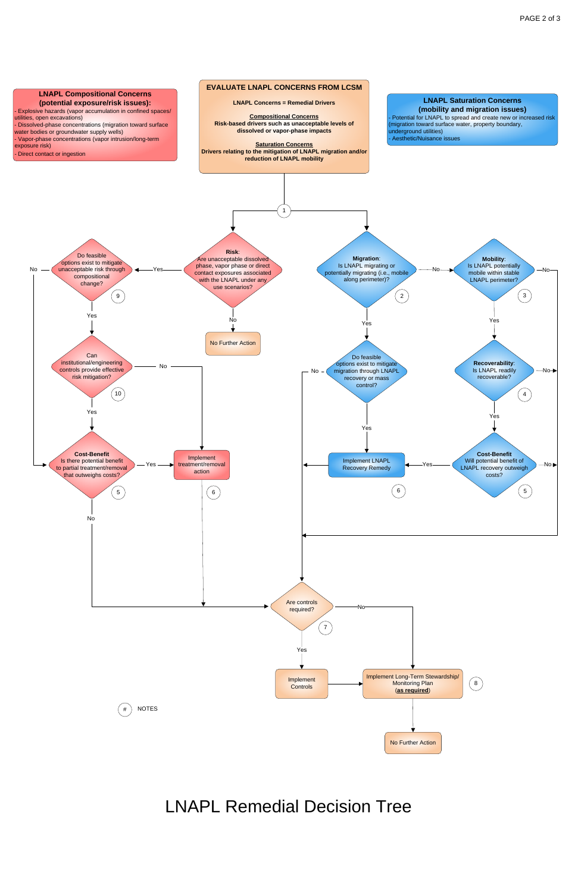## **EVALUATE LNAPL CONCERNS FROM LCSM**





Yes

## LNAPL Remedial Decision Tree